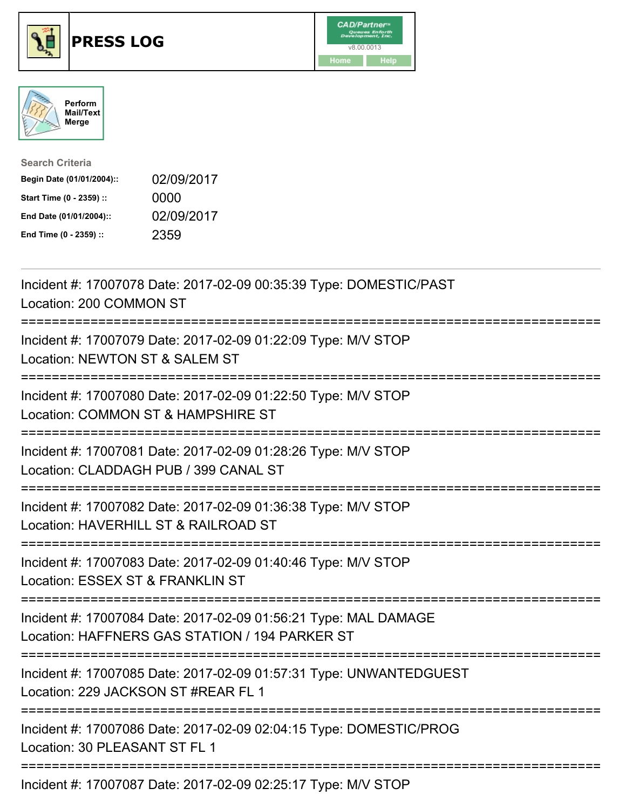





| <b>Search Criteria</b>    |            |
|---------------------------|------------|
| Begin Date (01/01/2004):: | 02/09/2017 |
| Start Time (0 - 2359) ::  | 0000       |
| End Date (01/01/2004)::   | 02/09/2017 |
| End Time (0 - 2359) ::    | 2359       |

| Incident #: 17007078 Date: 2017-02-09 00:35:39 Type: DOMESTIC/PAST<br>Location: 200 COMMON ST                                                                          |
|------------------------------------------------------------------------------------------------------------------------------------------------------------------------|
| Incident #: 17007079 Date: 2017-02-09 01:22:09 Type: M/V STOP<br>Location: NEWTON ST & SALEM ST                                                                        |
| Incident #: 17007080 Date: 2017-02-09 01:22:50 Type: M/V STOP<br>Location: COMMON ST & HAMPSHIRE ST                                                                    |
| Incident #: 17007081 Date: 2017-02-09 01:28:26 Type: M/V STOP<br>Location: CLADDAGH PUB / 399 CANAL ST<br>:==========================                                  |
| Incident #: 17007082 Date: 2017-02-09 01:36:38 Type: M/V STOP<br>Location: HAVERHILL ST & RAILROAD ST<br>:==========================                                   |
| Incident #: 17007083 Date: 2017-02-09 01:40:46 Type: M/V STOP<br>Location: ESSEX ST & FRANKLIN ST                                                                      |
| Incident #: 17007084 Date: 2017-02-09 01:56:21 Type: MAL DAMAGE<br>Location: HAFFNERS GAS STATION / 194 PARKER ST<br>==================================                |
| Incident #: 17007085 Date: 2017-02-09 01:57:31 Type: UNWANTEDGUEST<br>Location: 229 JACKSON ST #REAR FL 1<br>:===========================<br>========================= |
| Incident #: 17007086 Date: 2017-02-09 02:04:15 Type: DOMESTIC/PROG<br>Location: 30 PLEASANT ST FL 1                                                                    |
| Incident #: 17007087 Date: 2017-02-09 02:25:17 Type: M/V STOP                                                                                                          |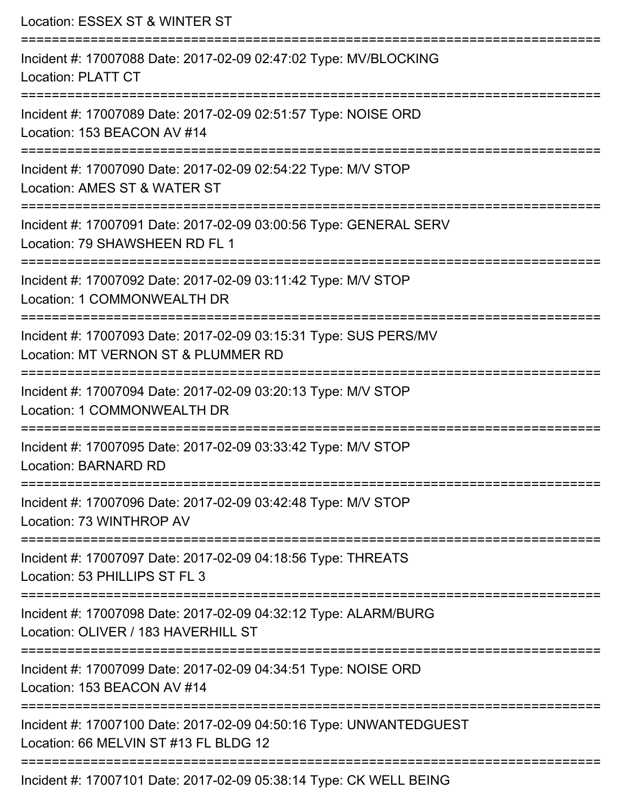Location: ESSEX ST & WINTER ST =========================================================================== Incident #: 17007088 Date: 2017-02-09 02:47:02 Type: MV/BLOCKING Location: PLATT CT =========================================================================== Incident #: 17007089 Date: 2017-02-09 02:51:57 Type: NOISE ORD Location: 153 BEACON AV #14 =========================================================================== Incident #: 17007090 Date: 2017-02-09 02:54:22 Type: M/V STOP Location: AMES ST & WATER ST =========================================================================== Incident #: 17007091 Date: 2017-02-09 03:00:56 Type: GENERAL SERV Location: 79 SHAWSHEEN RD FL 1 =========================================================================== Incident #: 17007092 Date: 2017-02-09 03:11:42 Type: M/V STOP Location: 1 COMMONWEALTH DR =========================================================================== Incident #: 17007093 Date: 2017-02-09 03:15:31 Type: SUS PERS/MV Location: MT VERNON ST & PLUMMER RD =========================================================================== Incident #: 17007094 Date: 2017-02-09 03:20:13 Type: M/V STOP Location: 1 COMMONWEALTH DR =========================================================================== Incident #: 17007095 Date: 2017-02-09 03:33:42 Type: M/V STOP Location: BARNARD RD =========================================================================== Incident #: 17007096 Date: 2017-02-09 03:42:48 Type: M/V STOP Location: 73 WINTHROP AV =========================================================================== Incident #: 17007097 Date: 2017-02-09 04:18:56 Type: THREATS Location: 53 PHILLIPS ST FL 3 =========================================================================== Incident #: 17007098 Date: 2017-02-09 04:32:12 Type: ALARM/BURG Location: OLIVER / 183 HAVERHILL ST =========================================================================== Incident #: 17007099 Date: 2017-02-09 04:34:51 Type: NOISE ORD Location: 153 BEACON AV #14 =========================================================================== Incident #: 17007100 Date: 2017-02-09 04:50:16 Type: UNWANTEDGUEST Location: 66 MFLVIN ST #13 FL BLDG 12 =========================================================================== Incident #: 17007101 Date: 2017-02-09 05:38:14 Type: CK WELL BEING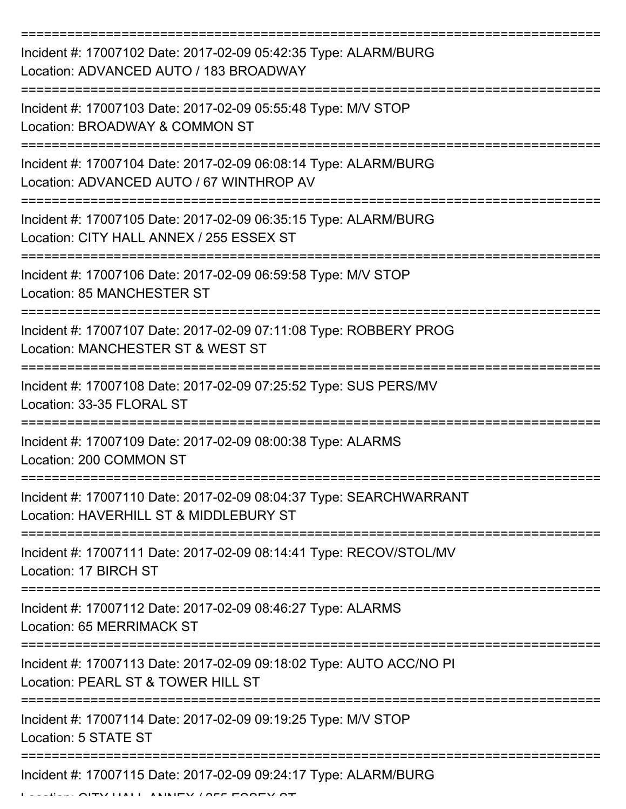| Incident #: 17007102 Date: 2017-02-09 05:42:35 Type: ALARM/BURG<br>Location: ADVANCED AUTO / 183 BROADWAY    |
|--------------------------------------------------------------------------------------------------------------|
| Incident #: 17007103 Date: 2017-02-09 05:55:48 Type: M/V STOP<br>Location: BROADWAY & COMMON ST              |
| Incident #: 17007104 Date: 2017-02-09 06:08:14 Type: ALARM/BURG<br>Location: ADVANCED AUTO / 67 WINTHROP AV  |
| Incident #: 17007105 Date: 2017-02-09 06:35:15 Type: ALARM/BURG<br>Location: CITY HALL ANNEX / 255 ESSEX ST  |
| Incident #: 17007106 Date: 2017-02-09 06:59:58 Type: M/V STOP<br>Location: 85 MANCHESTER ST                  |
| Incident #: 17007107 Date: 2017-02-09 07:11:08 Type: ROBBERY PROG<br>Location: MANCHESTER ST & WEST ST       |
| Incident #: 17007108 Date: 2017-02-09 07:25:52 Type: SUS PERS/MV<br>Location: 33-35 FLORAL ST                |
| Incident #: 17007109 Date: 2017-02-09 08:00:38 Type: ALARMS<br>Location: 200 COMMON ST                       |
| Incident #: 17007110 Date: 2017-02-09 08:04:37 Type: SEARCHWARRANT<br>Location: HAVERHILL ST & MIDDLEBURY ST |
| Incident #: 17007111 Date: 2017-02-09 08:14:41 Type: RECOV/STOL/MV<br>Location: 17 BIRCH ST                  |
| Incident #: 17007112 Date: 2017-02-09 08:46:27 Type: ALARMS<br>Location: 65 MERRIMACK ST                     |
| Incident #: 17007113 Date: 2017-02-09 09:18:02 Type: AUTO ACC/NO PI<br>Location: PEARL ST & TOWER HILL ST    |
| Incident #: 17007114 Date: 2017-02-09 09:19:25 Type: M/V STOP<br>Location: 5 STATE ST                        |
| Incident #: 17007115 Date: 2017-02-09 09:24:17 Type: ALARM/BURG                                              |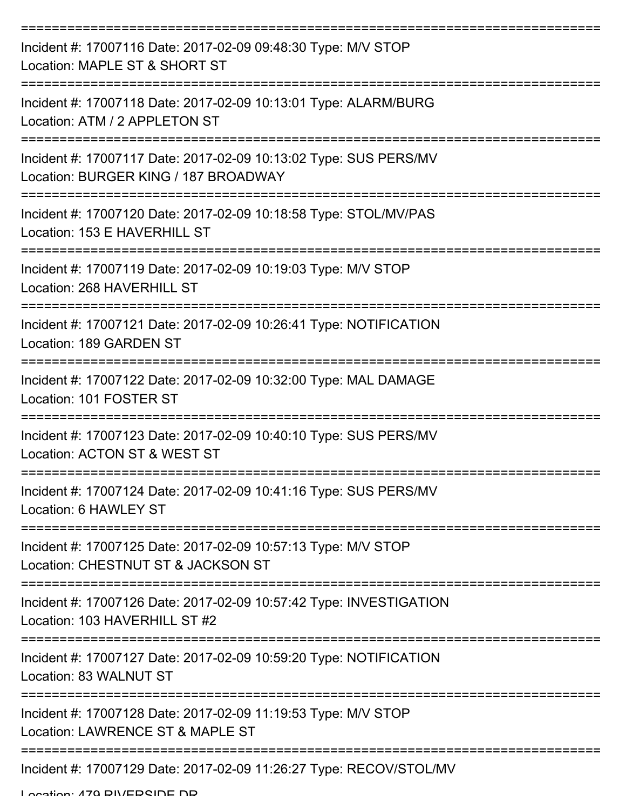| Incident #: 17007116 Date: 2017-02-09 09:48:30 Type: M/V STOP<br>Location: MAPLE ST & SHORT ST                |
|---------------------------------------------------------------------------------------------------------------|
| Incident #: 17007118 Date: 2017-02-09 10:13:01 Type: ALARM/BURG<br>Location: ATM / 2 APPLETON ST              |
| Incident #: 17007117 Date: 2017-02-09 10:13:02 Type: SUS PERS/MV<br>Location: BURGER KING / 187 BROADWAY      |
| Incident #: 17007120 Date: 2017-02-09 10:18:58 Type: STOL/MV/PAS<br>Location: 153 E HAVERHILL ST              |
| Incident #: 17007119 Date: 2017-02-09 10:19:03 Type: M/V STOP<br>Location: 268 HAVERHILL ST                   |
| Incident #: 17007121 Date: 2017-02-09 10:26:41 Type: NOTIFICATION<br>Location: 189 GARDEN ST                  |
| Incident #: 17007122 Date: 2017-02-09 10:32:00 Type: MAL DAMAGE<br>Location: 101 FOSTER ST                    |
| Incident #: 17007123 Date: 2017-02-09 10:40:10 Type: SUS PERS/MV<br>Location: ACTON ST & WEST ST              |
| Incident #: 17007124 Date: 2017-02-09 10:41:16 Type: SUS PERS/MV<br>Location: 6 HAWLEY ST<br>================ |
| Incident #: 17007125 Date: 2017-02-09 10:57:13 Type: M/V STOP<br>Location: CHESTNUT ST & JACKSON ST           |
| Incident #: 17007126 Date: 2017-02-09 10:57:42 Type: INVESTIGATION<br>Location: 103 HAVERHILL ST #2           |
| Incident #: 17007127 Date: 2017-02-09 10:59:20 Type: NOTIFICATION<br>Location: 83 WALNUT ST                   |
| Incident #: 17007128 Date: 2017-02-09 11:19:53 Type: M/V STOP<br>Location: LAWRENCE ST & MAPLE ST             |
| Incident #: 17007129 Date: 2017-02-09 11:26:27 Type: RECOV/STOL/MV                                            |

Location: 470 DIVEDRINE ND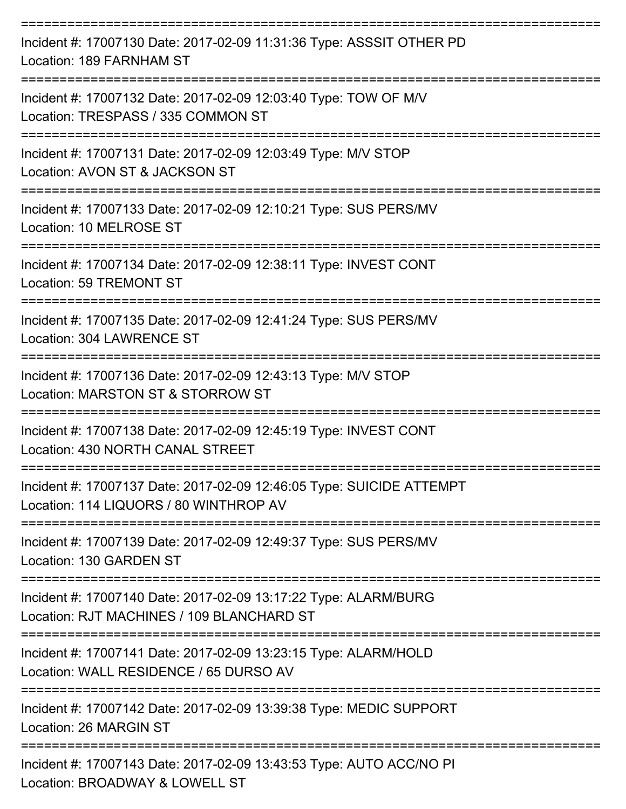| Incident #: 17007130 Date: 2017-02-09 11:31:36 Type: ASSSIT OTHER PD<br>Location: 189 FARNHAM ST               |
|----------------------------------------------------------------------------------------------------------------|
| Incident #: 17007132 Date: 2017-02-09 12:03:40 Type: TOW OF M/V<br>Location: TRESPASS / 335 COMMON ST          |
| Incident #: 17007131 Date: 2017-02-09 12:03:49 Type: M/V STOP<br>Location: AVON ST & JACKSON ST                |
| Incident #: 17007133 Date: 2017-02-09 12:10:21 Type: SUS PERS/MV<br>Location: 10 MELROSE ST                    |
| Incident #: 17007134 Date: 2017-02-09 12:38:11 Type: INVEST CONT<br><b>Location: 59 TREMONT ST</b>             |
| Incident #: 17007135 Date: 2017-02-09 12:41:24 Type: SUS PERS/MV<br>Location: 304 LAWRENCE ST                  |
| Incident #: 17007136 Date: 2017-02-09 12:43:13 Type: M/V STOP<br>Location: MARSTON ST & STORROW ST             |
| Incident #: 17007138 Date: 2017-02-09 12:45:19 Type: INVEST CONT<br>Location: 430 NORTH CANAL STREET           |
| Incident #: 17007137 Date: 2017-02-09 12:46:05 Type: SUICIDE ATTEMPT<br>Location: 114 LIQUORS / 80 WINTHROP AV |
| Incident #: 17007139 Date: 2017-02-09 12:49:37 Type: SUS PERS/MV<br>Location: 130 GARDEN ST                    |
| Incident #: 17007140 Date: 2017-02-09 13:17:22 Type: ALARM/BURG<br>Location: RJT MACHINES / 109 BLANCHARD ST   |
| Incident #: 17007141 Date: 2017-02-09 13:23:15 Type: ALARM/HOLD<br>Location: WALL RESIDENCE / 65 DURSO AV      |
| Incident #: 17007142 Date: 2017-02-09 13:39:38 Type: MEDIC SUPPORT<br>Location: 26 MARGIN ST                   |
| Incident #: 17007143 Date: 2017-02-09 13:43:53 Type: AUTO ACC/NO PI<br>Location: BROADWAY & LOWELL ST          |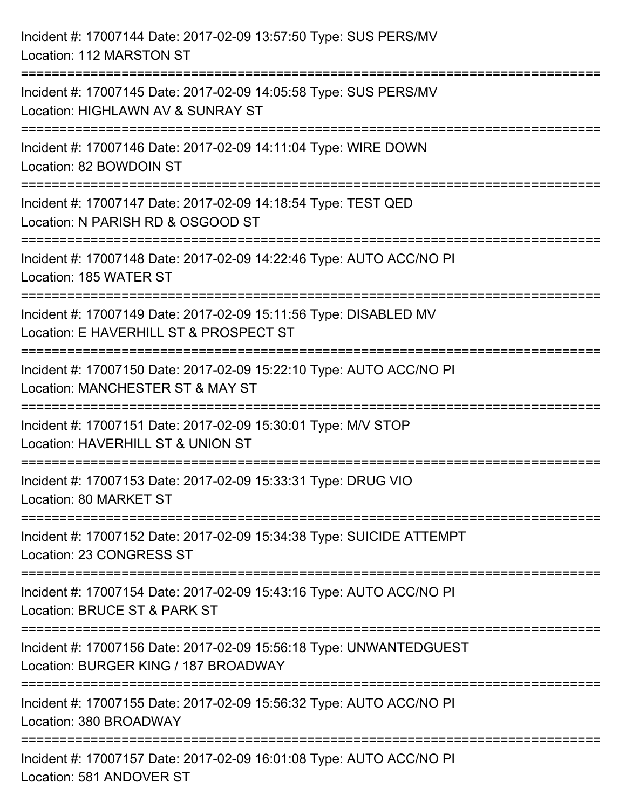| Incident #: 17007144 Date: 2017-02-09 13:57:50 Type: SUS PERS/MV<br>Location: 112 MARSTON ST                                         |
|--------------------------------------------------------------------------------------------------------------------------------------|
| Incident #: 17007145 Date: 2017-02-09 14:05:58 Type: SUS PERS/MV<br>Location: HIGHLAWN AV & SUNRAY ST                                |
| Incident #: 17007146 Date: 2017-02-09 14:11:04 Type: WIRE DOWN<br>Location: 82 BOWDOIN ST                                            |
| Incident #: 17007147 Date: 2017-02-09 14:18:54 Type: TEST QED<br>Location: N PARISH RD & OSGOOD ST                                   |
| Incident #: 17007148 Date: 2017-02-09 14:22:46 Type: AUTO ACC/NO PI<br>Location: 185 WATER ST                                        |
| Incident #: 17007149 Date: 2017-02-09 15:11:56 Type: DISABLED MV<br>Location: E HAVERHILL ST & PROSPECT ST                           |
| Incident #: 17007150 Date: 2017-02-09 15:22:10 Type: AUTO ACC/NO PI<br>Location: MANCHESTER ST & MAY ST                              |
| Incident #: 17007151 Date: 2017-02-09 15:30:01 Type: M/V STOP<br>Location: HAVERHILL ST & UNION ST                                   |
| Incident #: 17007153 Date: 2017-02-09 15:33:31 Type: DRUG VIO<br>Location: 80 MARKET ST                                              |
| Incident #: 17007152 Date: 2017-02-09 15:34:38 Type: SUICIDE ATTEMPT<br>Location: 23 CONGRESS ST                                     |
| Incident #: 17007154 Date: 2017-02-09 15:43:16 Type: AUTO ACC/NO PI<br>Location: BRUCE ST & PARK ST                                  |
| ======================<br>Incident #: 17007156 Date: 2017-02-09 15:56:18 Type: UNWANTEDGUEST<br>Location: BURGER KING / 187 BROADWAY |
| Incident #: 17007155 Date: 2017-02-09 15:56:32 Type: AUTO ACC/NO PI<br>Location: 380 BROADWAY                                        |
| Incident #: 17007157 Date: 2017-02-09 16:01:08 Type: AUTO ACC/NO PI<br>Location: 581 ANDOVER ST                                      |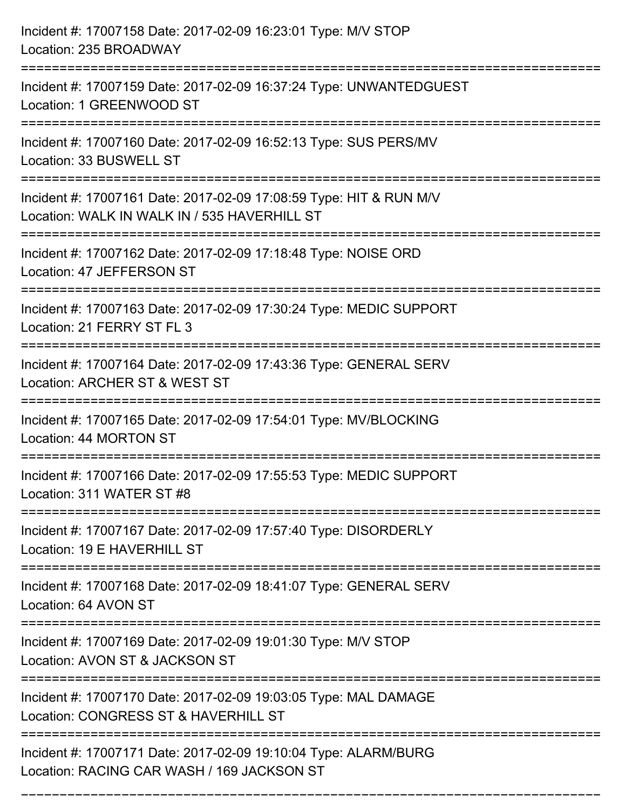| Incident #: 17007158 Date: 2017-02-09 16:23:01 Type: M/V STOP<br>Location: 235 BROADWAY                                              |
|--------------------------------------------------------------------------------------------------------------------------------------|
| Incident #: 17007159 Date: 2017-02-09 16:37:24 Type: UNWANTEDGUEST<br>Location: 1 GREENWOOD ST                                       |
| Incident #: 17007160 Date: 2017-02-09 16:52:13 Type: SUS PERS/MV<br>Location: 33 BUSWELL ST                                          |
| Incident #: 17007161 Date: 2017-02-09 17:08:59 Type: HIT & RUN M/V<br>Location: WALK IN WALK IN / 535 HAVERHILL ST                   |
| Incident #: 17007162 Date: 2017-02-09 17:18:48 Type: NOISE ORD<br>Location: 47 JEFFERSON ST                                          |
| Incident #: 17007163 Date: 2017-02-09 17:30:24 Type: MEDIC SUPPORT<br>Location: 21 FERRY ST FL 3                                     |
| Incident #: 17007164 Date: 2017-02-09 17:43:36 Type: GENERAL SERV<br>Location: ARCHER ST & WEST ST                                   |
| Incident #: 17007165 Date: 2017-02-09 17:54:01 Type: MV/BLOCKING<br>Location: 44 MORTON ST                                           |
| Incident #: 17007166 Date: 2017-02-09 17:55:53 Type: MEDIC SUPPORT<br>Location: 311 WATER ST #8                                      |
| Incident #: 17007167 Date: 2017-02-09 17:57:40 Type: DISORDERLY<br>Location: 19 E HAVERHILL ST<br>---------------------------------- |
| Incident #: 17007168 Date: 2017-02-09 18:41:07 Type: GENERAL SERV<br>Location: 64 AVON ST                                            |
| Incident #: 17007169 Date: 2017-02-09 19:01:30 Type: M/V STOP<br>Location: AVON ST & JACKSON ST                                      |
| Incident #: 17007170 Date: 2017-02-09 19:03:05 Type: MAL DAMAGE<br>Location: CONGRESS ST & HAVERHILL ST                              |
| Incident #: 17007171 Date: 2017-02-09 19:10:04 Type: ALARM/BURG<br>Location: RACING CAR WASH / 169 JACKSON ST                        |

===========================================================================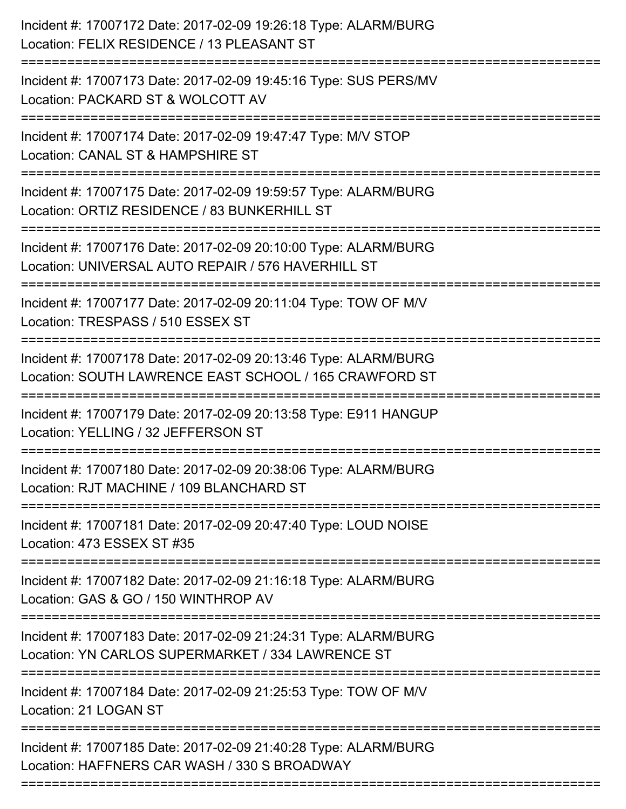| Incident #: 17007172 Date: 2017-02-09 19:26:18 Type: ALARM/BURG<br>Location: FELIX RESIDENCE / 13 PLEASANT ST                |
|------------------------------------------------------------------------------------------------------------------------------|
| Incident #: 17007173 Date: 2017-02-09 19:45:16 Type: SUS PERS/MV<br>Location: PACKARD ST & WOLCOTT AV                        |
| Incident #: 17007174 Date: 2017-02-09 19:47:47 Type: M/V STOP<br>Location: CANAL ST & HAMPSHIRE ST<br>====================== |
| Incident #: 17007175 Date: 2017-02-09 19:59:57 Type: ALARM/BURG<br>Location: ORTIZ RESIDENCE / 83 BUNKERHILL ST              |
| Incident #: 17007176 Date: 2017-02-09 20:10:00 Type: ALARM/BURG<br>Location: UNIVERSAL AUTO REPAIR / 576 HAVERHILL ST        |
| Incident #: 17007177 Date: 2017-02-09 20:11:04 Type: TOW OF M/V<br>Location: TRESPASS / 510 ESSEX ST                         |
| Incident #: 17007178 Date: 2017-02-09 20:13:46 Type: ALARM/BURG<br>Location: SOUTH LAWRENCE EAST SCHOOL / 165 CRAWFORD ST    |
| Incident #: 17007179 Date: 2017-02-09 20:13:58 Type: E911 HANGUP<br>Location: YELLING / 32 JEFFERSON ST                      |
| Incident #: 17007180 Date: 2017-02-09 20:38:06 Type: ALARM/BURG<br>Location: RJT MACHINE / 109 BLANCHARD ST                  |
| Incident #: 17007181 Date: 2017-02-09 20:47:40 Type: LOUD NOISE<br>Location: 473 ESSEX ST #35                                |
| Incident #: 17007182 Date: 2017-02-09 21:16:18 Type: ALARM/BURG<br>Location: GAS & GO / 150 WINTHROP AV                      |
| Incident #: 17007183 Date: 2017-02-09 21:24:31 Type: ALARM/BURG<br>Location: YN CARLOS SUPERMARKET / 334 LAWRENCE ST         |
| Incident #: 17007184 Date: 2017-02-09 21:25:53 Type: TOW OF M/V<br>Location: 21 LOGAN ST                                     |
| Incident #: 17007185 Date: 2017-02-09 21:40:28 Type: ALARM/BURG<br>Location: HAFFNERS CAR WASH / 330 S BROADWAY              |
|                                                                                                                              |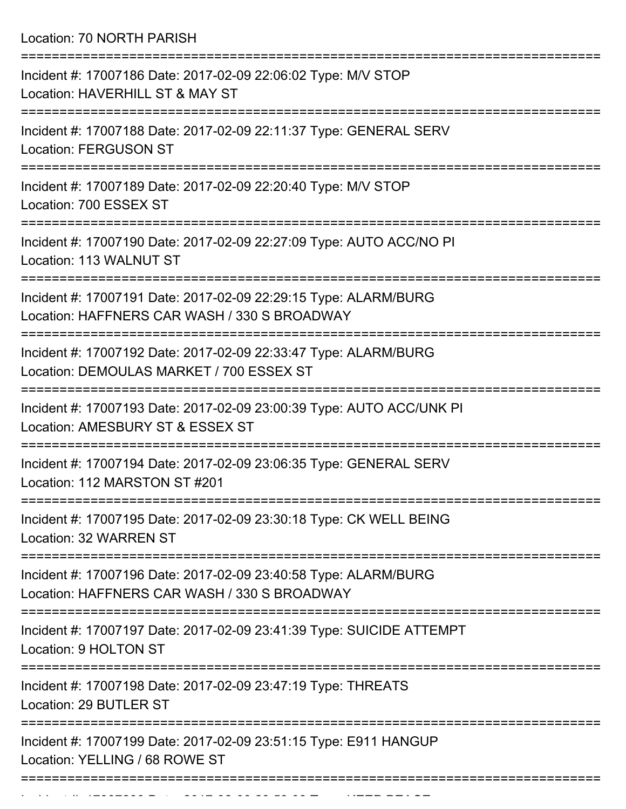Location: 70 NORTH PARISH

| Incident #: 17007186 Date: 2017-02-09 22:06:02 Type: M/V STOP<br>Location: HAVERHILL ST & MAY ST                                       |
|----------------------------------------------------------------------------------------------------------------------------------------|
| Incident #: 17007188 Date: 2017-02-09 22:11:37 Type: GENERAL SERV<br><b>Location: FERGUSON ST</b>                                      |
| Incident #: 17007189 Date: 2017-02-09 22:20:40 Type: M/V STOP<br>Location: 700 ESSEX ST                                                |
| Incident #: 17007190 Date: 2017-02-09 22:27:09 Type: AUTO ACC/NO PI<br>Location: 113 WALNUT ST                                         |
| Incident #: 17007191 Date: 2017-02-09 22:29:15 Type: ALARM/BURG<br>Location: HAFFNERS CAR WASH / 330 S BROADWAY                        |
| Incident #: 17007192 Date: 2017-02-09 22:33:47 Type: ALARM/BURG<br>Location: DEMOULAS MARKET / 700 ESSEX ST                            |
| Incident #: 17007193 Date: 2017-02-09 23:00:39 Type: AUTO ACC/UNK PI<br>Location: AMESBURY ST & ESSEX ST                               |
| Incident #: 17007194 Date: 2017-02-09 23:06:35 Type: GENERAL SERV<br>Location: 112 MARSTON ST #201                                     |
| Incident #: 17007195 Date: 2017-02-09 23:30:18 Type: CK WELL BEING<br>Location: 32 WARREN ST                                           |
| -------------------<br>Incident #: 17007196 Date: 2017-02-09 23:40:58 Type: ALARM/BURG<br>Location: HAFFNERS CAR WASH / 330 S BROADWAY |
| Incident #: 17007197 Date: 2017-02-09 23:41:39 Type: SUICIDE ATTEMPT<br>Location: 9 HOLTON ST                                          |
| Incident #: 17007198 Date: 2017-02-09 23:47:19 Type: THREATS<br>Location: 29 BUTLER ST                                                 |
| Incident #: 17007199 Date: 2017-02-09 23:51:15 Type: E911 HANGUP<br>Location: YELLING / 68 ROWE ST                                     |
|                                                                                                                                        |